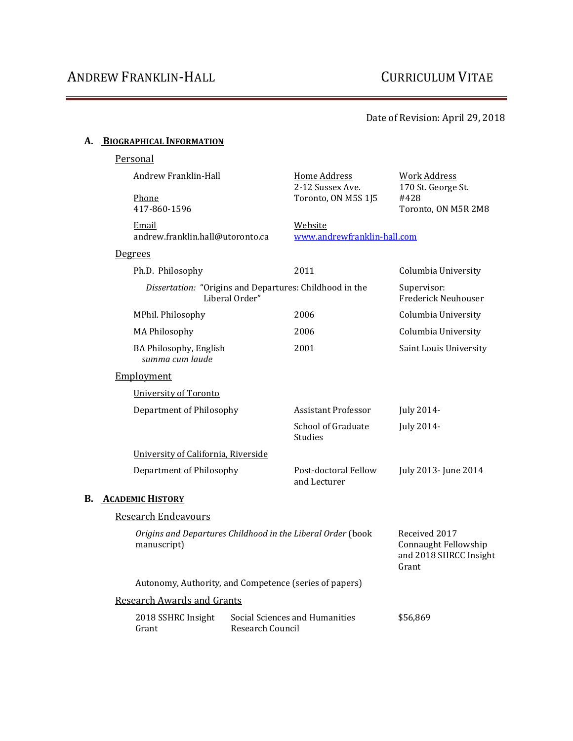### Date of Revision: April 29, 2018

## **A. BIOGRAPHICAL INFORMATION**

|                                     | Personal                                                                   |                  |                                                                          |                                                                          |
|-------------------------------------|----------------------------------------------------------------------------|------------------|--------------------------------------------------------------------------|--------------------------------------------------------------------------|
|                                     | Andrew Franklin-Hall<br>Phone<br>417-860-1596                              |                  | <b>Home Address</b><br>2-12 Sussex Ave.<br>Toronto, ON M5S 1J5           | <b>Work Address</b><br>170 St. George St.<br>#428<br>Toronto, ON M5R 2M8 |
|                                     | Email<br>andrew.franklin.hall@utoronto.ca                                  |                  | Website<br>www.andrewfranklin-hall.com                                   |                                                                          |
|                                     | <u>Degrees</u>                                                             |                  |                                                                          |                                                                          |
|                                     | Ph.D. Philosophy                                                           |                  | 2011                                                                     | Columbia University                                                      |
|                                     | Dissertation: "Origins and Departures: Childhood in the<br>Liberal Order"  |                  | Supervisor:<br><b>Frederick Neuhouser</b>                                |                                                                          |
|                                     | MPhil. Philosophy                                                          |                  | 2006                                                                     | Columbia University                                                      |
|                                     | <b>MA Philosophy</b>                                                       |                  | 2006                                                                     | Columbia University                                                      |
|                                     | BA Philosophy, English<br>summa cum laude                                  |                  | 2001                                                                     | Saint Louis University                                                   |
|                                     | Employment                                                                 |                  |                                                                          |                                                                          |
|                                     | University of Toronto                                                      |                  |                                                                          |                                                                          |
|                                     | Department of Philosophy                                                   |                  | <b>Assistant Professor</b>                                               | July 2014-                                                               |
|                                     |                                                                            |                  | School of Graduate<br>Studies                                            | July 2014-                                                               |
| University of California, Riverside |                                                                            |                  |                                                                          |                                                                          |
|                                     | Department of Philosophy                                                   |                  | Post-doctoral Fellow<br>and Lecturer                                     | July 2013- June 2014                                                     |
| В.                                  | <b>ACADEMIC HISTORY</b>                                                    |                  |                                                                          |                                                                          |
|                                     | <b>Research Endeavours</b>                                                 |                  |                                                                          |                                                                          |
|                                     | Origins and Departures Childhood in the Liberal Order (book<br>manuscript) |                  | Received 2017<br>Connaught Fellowship<br>and 2018 SHRCC Insight<br>Grant |                                                                          |
|                                     | Autonomy, Authority, and Competence (series of papers)                     |                  |                                                                          |                                                                          |
|                                     | <b>Research Awards and Grants</b>                                          |                  |                                                                          |                                                                          |
|                                     | 2018 SSHRC Insight<br>Grant                                                | Research Council | Social Sciences and Humanities                                           | \$56,869                                                                 |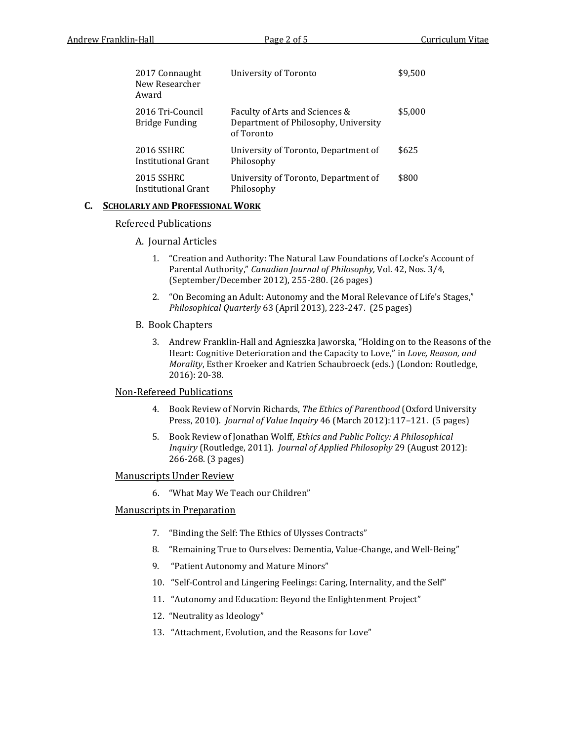| 2017 Connaught<br>New Researcher<br>Award | University of Toronto                                                                | \$9,500 |
|-------------------------------------------|--------------------------------------------------------------------------------------|---------|
| 2016 Tri-Council<br><b>Bridge Funding</b> | Faculty of Arts and Sciences &<br>Department of Philosophy, University<br>of Toronto | \$5,000 |
| 2016 SSHRC<br>Institutional Grant         | University of Toronto, Department of<br>Philosophy                                   | \$625   |
| 2015 SSHRC<br>Institutional Grant         | University of Toronto, Department of<br>Philosophy                                   | \$800   |

#### **C. SCHOLARLY AND PROFESSIONAL WORK**

#### Refereed Publications

#### A. Journal Articles

- 1. "Creation and Authority: The Natural Law Foundations of Locke's Account of Parental Authority," *Canadian Journal of Philosophy,* Vol. 42, Nos. 3/4, (September/December 2012), 255-280. (26 pages)
- 2. "On Becoming an Adult: Autonomy and the Moral Relevance of Life's Stages," *Philosophical Quarterly* 63 (April 2013), 223-247. (25 pages)

#### B. Book Chapters

3. Andrew Franklin-Hall and Agnieszka Jaworska, "Holding on to the Reasons of the Heart: Cognitive Deterioration and the Capacity to Love," in *Love, Reason, and Morality*, Esther Kroeker and Katrien Schaubroeck (eds.) (London: Routledge, 2016): 20-38.

#### Non-Refereed Publications

- 4. Book Review of Norvin Richards, *The Ethics of Parenthood* (Oxford University Press, 2010). *Journal of Value Inquiry* 46 (March 2012):117–121. (5 pages)
- 5. Book Review of Jonathan Wolff, *Ethics and Public Policy: A Philosophical Inquiry* (Routledge, 2011). *Journal of Applied Philosophy* 29 (August 2012): 266-268. (3 pages)

#### Manuscripts Under Review

6. "What May We Teach our Children"

#### Manuscripts in Preparation

- 7. "Binding the Self: The Ethics of Ulysses Contracts"
- 8. "Remaining True to Ourselves: Dementia, Value-Change, and Well-Being"
- 9. "Patient Autonomy and Mature Minors"
- 10. "Self-Control and Lingering Feelings: Caring, Internality, and the Self"
- 11. "Autonomy and Education: Beyond the Enlightenment Project"
- 12. "Neutrality as Ideology"
- 13. "Attachment, Evolution, and the Reasons for Love"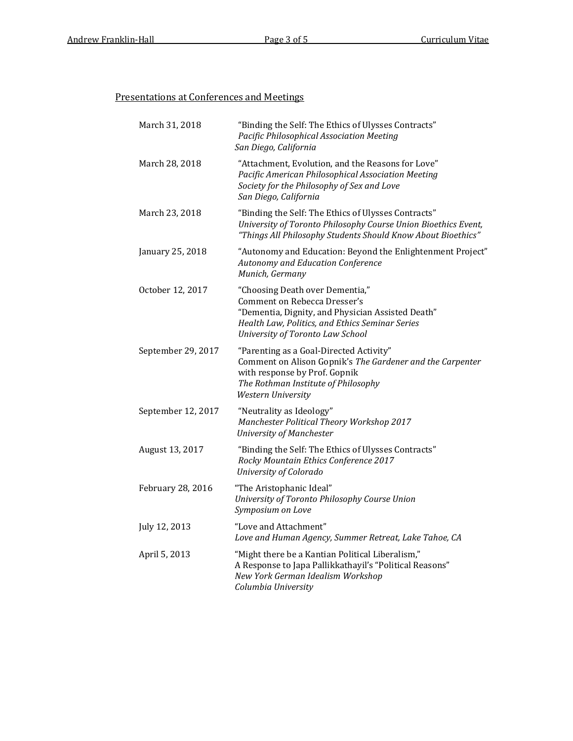### Presentations at Conferences and Meetings

| March 31, 2018     | "Binding the Self: The Ethics of Ulysses Contracts"<br>Pacific Philosophical Association Meeting<br>San Diego, California                                                                                   |
|--------------------|-------------------------------------------------------------------------------------------------------------------------------------------------------------------------------------------------------------|
| March 28, 2018     | "Attachment, Evolution, and the Reasons for Love"<br>Pacific American Philosophical Association Meeting<br>Society for the Philosophy of Sex and Love<br>San Diego, California                              |
| March 23, 2018     | "Binding the Self: The Ethics of Ulysses Contracts"<br>University of Toronto Philosophy Course Union Bioethics Event,<br>"Things All Philosophy Students Should Know About Bioethics"                       |
| January 25, 2018   | "Autonomy and Education: Beyond the Enlightenment Project"<br>Autonomy and Education Conference<br>Munich, Germany                                                                                          |
| October 12, 2017   | "Choosing Death over Dementia,"<br>Comment on Rebecca Dresser's<br>"Dementia, Dignity, and Physician Assisted Death"<br>Health Law, Politics, and Ethics Seminar Series<br>University of Toronto Law School |
| September 29, 2017 | "Parenting as a Goal-Directed Activity"<br>Comment on Alison Gopnik's The Gardener and the Carpenter<br>with response by Prof. Gopnik<br>The Rothman Institute of Philosophy<br>Western University          |
| September 12, 2017 | "Neutrality as Ideology"<br>Manchester Political Theory Workshop 2017<br>University of Manchester                                                                                                           |
| August 13, 2017    | "Binding the Self: The Ethics of Ulysses Contracts"<br>Rocky Mountain Ethics Conference 2017<br>University of Colorado                                                                                      |
| February 28, 2016  | "The Aristophanic Ideal"<br>University of Toronto Philosophy Course Union<br>Symposium on Love                                                                                                              |
| July 12, 2013      | "Love and Attachment"<br>Love and Human Agency, Summer Retreat, Lake Tahoe, CA                                                                                                                              |
| April 5, 2013      | "Might there be a Kantian Political Liberalism,"<br>A Response to Japa Pallikkathayil's "Political Reasons"<br>New York German Idealism Workshop<br>Columbia University                                     |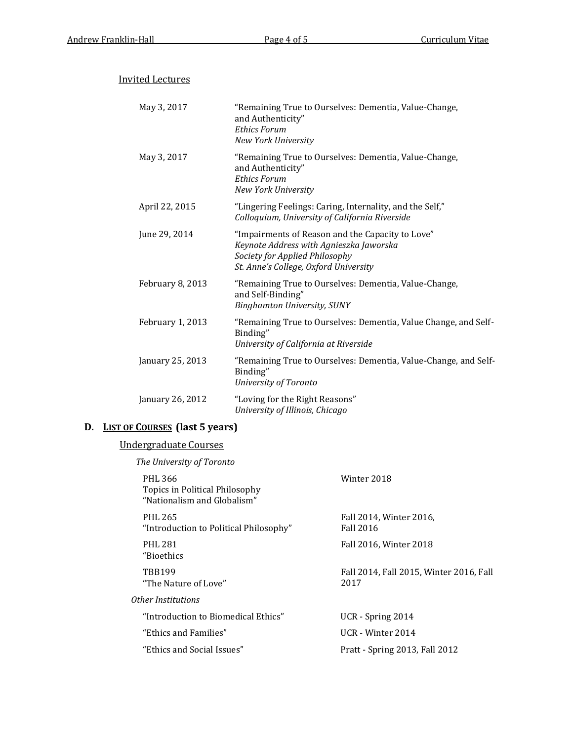| <b>Invited Lectures</b> |                                                                                                                                                                        |
|-------------------------|------------------------------------------------------------------------------------------------------------------------------------------------------------------------|
| May 3, 2017             | "Remaining True to Ourselves: Dementia, Value-Change,<br>and Authenticity"<br><b>Ethics Forum</b><br>New York University                                               |
| May 3, 2017             | "Remaining True to Ourselves: Dementia, Value-Change,<br>and Authenticity"<br><b>Ethics Forum</b><br>New York University                                               |
| April 22, 2015          | "Lingering Feelings: Caring, Internality, and the Self,"<br>Colloquium, University of California Riverside                                                             |
| June 29, 2014           | "Impairments of Reason and the Capacity to Love"<br>Keynote Address with Agnieszka Jaworska<br>Society for Applied Philosophy<br>St. Anne's College, Oxford University |
| February 8, 2013        | "Remaining True to Ourselves: Dementia, Value-Change,<br>and Self-Binding"<br><b>Binghamton University, SUNY</b>                                                       |
| February 1, 2013        | "Remaining True to Ourselves: Dementia, Value Change, and Self-<br>Binding"<br>University of California at Riverside                                                   |
| January 25, 2013        | "Remaining True to Ourselves: Dementia, Value-Change, and Self-<br>Binding"<br>University of Toronto                                                                   |
| January 26, 2012        | "Loving for the Right Reasons"<br>University of Illinois, Chicago                                                                                                      |

## **D. LIST OF COURSES (last 5 years)**

# Undergraduate Courses

*The University of Toronto*

| PHL 366<br>Topics in Political Philosophy<br>"Nationalism and Globalism" | Winter 2018                                     |
|--------------------------------------------------------------------------|-------------------------------------------------|
| <b>PHL 265</b><br>"Introduction to Political Philosophy"                 | Fall 2014, Winter 2016,<br><b>Fall 2016</b>     |
| <b>PHL 281</b><br>"Bioethics                                             | Fall 2016, Winter 2018                          |
| <b>TRR199</b><br>"The Nature of Love"                                    | Fall 2014, Fall 2015, Winter 2016, Fall<br>2017 |
| Other Institutions                                                       |                                                 |
| "Introduction to Biomedical Ethics"                                      | UCR - Spring 2014                               |
| "Ethics and Families"                                                    | UCR - Winter 2014                               |
| "Ethics and Social Issues"                                               | Pratt - Spring 2013, Fall 2012                  |
|                                                                          |                                                 |